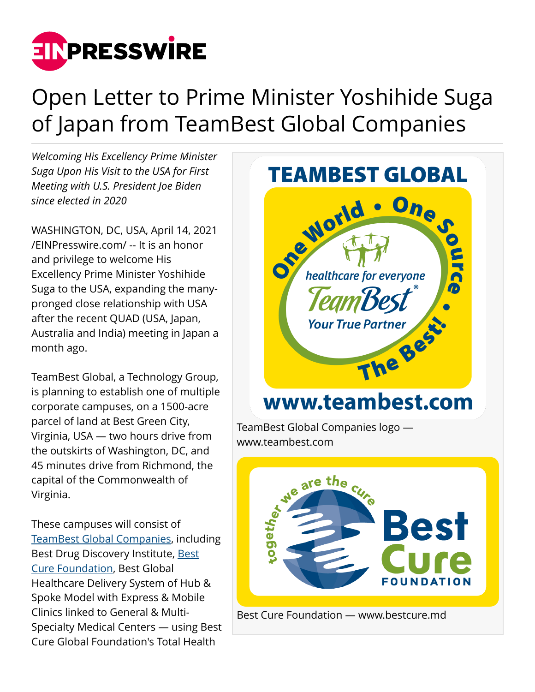

## Open Letter to Prime Minister Yoshihide Suga of Japan from TeamBest Global Companies

*Welcoming His Excellency Prime Minister Suga Upon His Visit to the USA for First Meeting with U.S. President Joe Biden since elected in 2020*

WASHINGTON, DC, USA, April 14, 2021 [/EINPresswire.com/](http://www.einpresswire.com) -- It is an honor and privilege to welcome His Excellency Prime Minister Yoshihide Suga to the USA, expanding the manypronged close relationship with USA after the recent QUAD (USA, Japan, Australia and India) meeting in Japan a month ago.

TeamBest Global, a Technology Group, is planning to establish one of multiple corporate campuses, on a 1500-acre parcel of land at Best Green City, Virginia, USA — two hours drive from the outskirts of Washington, DC, and 45 minutes drive from Richmond, the capital of the Commonwealth of Virginia.

These campuses will consist of [TeamBest Global Companies,](http://www.teambest.com) including Best Drug Discovery Institute, [Best](http://www.bestcure.md) [Cure Foundation](http://www.bestcure.md), Best Global Healthcare Delivery System of Hub & Spoke Model with Express & Mobile Clinics linked to General & Multi-Specialty Medical Centers — using Best Cure Global Foundation's Total Health

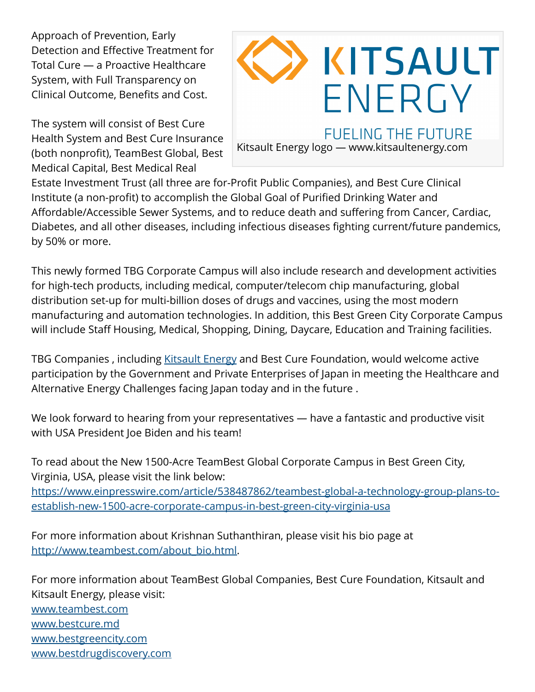Approach of Prevention, Early Detection and Effective Treatment for Total Cure — a Proactive Healthcare System, with Full Transparency on Clinical Outcome, Benefits and Cost.

The system will consist of Best Cure Health System and Best Cure Insurance (both nonprofit), TeamBest Global, Best Medical Capital, Best Medical Real



Kitsault Energy logo — www.kitsaultenergy.com

Estate Investment Trust (all three are for-Profit Public Companies), and Best Cure Clinical Institute (a non-profit) to accomplish the Global Goal of Purified Drinking Water and Affordable/Accessible Sewer Systems, and to reduce death and suffering from Cancer, Cardiac, Diabetes, and all other diseases, including infectious diseases fighting current/future pandemics, by 50% or more.

This newly formed TBG Corporate Campus will also include research and development activities for high-tech products, including medical, computer/telecom chip manufacturing, global distribution set-up for multi-billion doses of drugs and vaccines, using the most modern manufacturing and automation technologies. In addition, this Best Green City Corporate Campus will include Staff Housing, Medical, Shopping, Dining, Daycare, Education and Training facilities.

TBG Companies , including [Kitsault Energy](http://www.kitsaultenergy.com) and Best Cure Foundation, would welcome active participation by the Government and Private Enterprises of Japan in meeting the Healthcare and Alternative Energy Challenges facing Japan today and in the future .

We look forward to hearing from your representatives — have a fantastic and productive visit with USA President Joe Biden and his team!

To read about the New 1500-Acre TeamBest Global Corporate Campus in Best Green City, Virginia, USA, please visit the link below: [https://www.einpresswire.com/article/538487862/teambest-global-a-technology-group-plans-to](https://www.einpresswire.com/article/538487862/teambest-global-a-technology-group-plans-to-establish-new-1500-acre-corporate-campus-in-best-green-city-virginia-usa)[establish-new-1500-acre-corporate-campus-in-best-green-city-virginia-usa](https://www.einpresswire.com/article/538487862/teambest-global-a-technology-group-plans-to-establish-new-1500-acre-corporate-campus-in-best-green-city-virginia-usa)

For more information about Krishnan Suthanthiran, please visit his bio page at [http://www.teambest.com/about\\_bio.html](http://www.teambest.com/about_bio.html).

For more information about TeamBest Global Companies, Best Cure Foundation, Kitsault and Kitsault Energy, please visit: [www.teambest.com](http://www.teambest.com) [www.bestcure.md](http://www.bestcure.md) [www.bestgreencity.com](http://www.bestgreencity.com) [www.bestdrugdiscovery.com](http://www.bestdrugdiscovery.com)